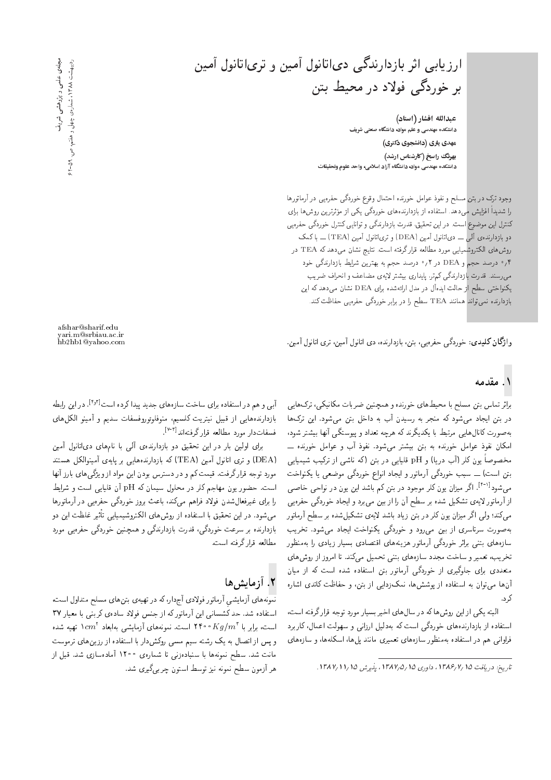ارزیابی اثر بازدارندگی دیاتانول آمین و تریاتانول آمین بر خوردگی فولاد در محیط بتن

عبدالله افشار (استاد) .<br>دانشکده مهندسی و علم مواد، دانشگاه صنعتی شریف ەھدى يارى (دانشجوى دكترى) بهرنگ راسخ (کارشناس ارشد) دانشکده مهندسی مواد، دانشگاه آزاد اسلامی، واحد علوم وتحقیقات

وجود ترک در بتن مسلح و نفوذ عوامل خورنده احتمال وقوع خوردگی حفرهیی در آرماتورها را شدیداً افزایش م<mark>ی دهد. استفاده از بازدارندههای خ</mark>وردگی یکی از مؤثرترین روش ها برای<br>. كنترل اين موضوع است. در اين تحقيق، قدرت بازدارندگي و توانايي كنترل خوردگي حفرهيي دو بازدارندہی آلمی ـــ دی|تانول آمین (DEA) و تری|تانول آمین (TEA) ـــ با کمک روشهاى الكتروشميايي مورد مطالعه قرار گرفته است. نتايج نشان مىدهد كه TEA در و درصد حجم و DEA در ۲ و صد حجم به بهترین شرایط بازدارندگی خود  $\epsilon$ میںسند. قدرت بازدارندگی کمتر، پایداری بیشتر لایهی مضاعف و انحراف ضریب یکنواختی سطح از حالت ایدهآل در مدل ارائهشده برای DEA نشان می دهد که این بازدارنده نسیتواند همانند TEA سطح را در برابر خوردگی حفوهیی حفاظت کند.

وا**ژگان کلیدی**: خوردگی حفرهیی، بتن، بازدارنده، دی اتانول آمین، تری اتانول آمین.

### .<br>۱. مقدمه

براثر تماس بتن مسلح با محیط های خورنده و همچنین ضربات مکانیکی، ترک هایی در بتن ایجاد می شود که منجر به رسیدن آب به داخل بتن می شود. این ترکها به صورت كانال هايي مرتبط با يكديگرند كه هرچه تعداد و پيوستگي أنها بيشتر شود، امکان نفوذ عوامل خورنده به بتن بیشتر میشود. نفوذ آب و عوامل خورنده ـــ مخصوصاً یون کلر (آب دریا) و pH قلیایی در بتن (که ناشی از ترکیب شیمیایی بتن است) ـــ سبب خوردگی أرماتور و ايجاد انواع خوردگی موضعی يا يكنواخت میشود<sup>[۴-۱]</sup>. اگر میزان یون کلر موجو**د د**ر بتن کم باشد این یون در نواحی خاصی از آرماتور لایهی تشکیل شده بر سطح آن را از بین می برد و ایجاد خوردگی حفره یی میکند؛ ولی اگر میزان یون کلر در بتن زیاد باشد لایهی تشکیل شده بر سطح آرماتور به صورت سرتاسري از بين مي رود و خوردگي يكنواخت ايجاد مي شود. تخريب سازههای بتنی براثر خوردگی آرماتور هزینههای اقتصادی بسیار زیادی را بهمنظور تخریب، تعمیر و ساخت مجدد سازههای بتنی تحمیل میکند. تا امروز از روشهای متعددی برای جلوگیری از خوردگی آرماتور بتن استفاده شده است که از میان .<br>آنها می توان به استفاده از یوشش ها، نمک زدایی از بتن، و حفاظت کاتدی اشاره ک, د.

البته يكي از اين روش هاكه در سال هاى اخير بسيار مورد توجه قرار گرفته است، استفاده از بازدارندههای خوردگی است که بهدلیل ارزانی و سهولت اعمال، کاربرد فراوانی هم در استفاده بهمنظور سازههای تعمیری مانند پلها، اسکلهها، و سازههای

مجلەى علمى و پژوهشى شريف مجلەی علمی و پژوهشی شریف اردیبهشت ۱۳۸۸، شمارهی چهل و هفتم، ص. ۵۹-۶۲ اردیبهشت ۱۲۸۸ ، شمارهی چهل و هفتم، ص. ۵۹-۶۲

afshar@sharif.edu yari.m@srbiau.ac.ir

آبی و هم در استفاده برای ساخت سازههای جدید پیداکرده است<sup>[۴٫۳]</sup>. در این رابطه بازدارندههايي از قبيل نيتريت كلسيم، منوفلوئوروفسفات سديم و أمينو الكلهاى " فسفاتدار مورد مطالعه قرار گرفتهاند<sup>[۲-۲]</sup>

برای اولین بار در این تحقیق دو بازدارندهی ألمی با نامهای دی|تانول آمین (DEA) و ترى اتانول أمين (TEA) كه بازدارندههايي بر پايهى أمينوالكل هستند مورد توجه قرار گرفت. قیمت کم و در دسترس بودن این مواد از ویژگی های بارز آنها است. حضور یون مهاجم کلر در محلول سیمان که pH آن قلیایی است و شرایط را برای غیرفعال شدن فولاد فراهم مهکند، باعث بروز خوردگی حفره پی در آرماتورها میشود. در این تحقیق با استفاده از روش های الکتروشیمیایی تأثیر غلظت این دو بازدارنده بر سرعت خوردگی، قدرت بازدارندگی و همچنین خوردگی حفره یی مورد مطالعه قرار گرفته است.

# X. آزمایش ها

نمونههای أزمایشی أرماتور فولادی أج دار، که در تهیهی بتن های مسلح متداول است. استفاده شد. حد کشسانی این آرماتورکه از جنس فولاد سادهی کربنی با معیار ۳۷ است، برابر با ۲۴۰۰ $Kg/m^{\tau}$ ۰۶۴ است. نمونههای آزمایشی بهابعاد  $cm^{\tau}$  تهیه شده و پس از اتصال به یک رشته سیم مسی روکشدار با استفاده از رزین های ترموست مانت شد. سطح نمونهها با سنبادهزنی تا شمارهی °۱۲۰ آمادهسازی شد. قبل از هر أزمون سطح نمونه نيز توسط استون چربىگيرى شد.

تاريخ: دريافت ١٥ /٢ /١٣٨۶ ، داوري ١٣٨٧/٥ / ١٣ يذيرش ١٦ /١١ /١٣٨٧.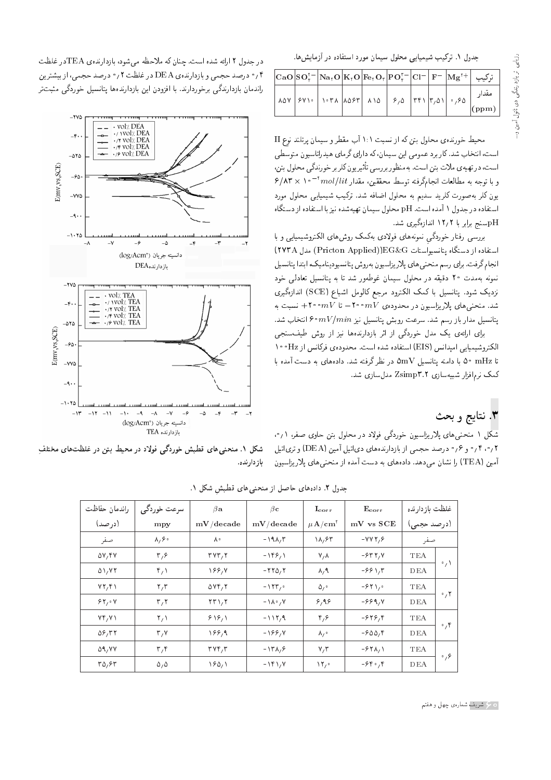جدول ۱. ترکیب شیمیایی محلول سیمان مورد استفاده در آزمایش ها.

|  |  |                                                        |  |  | $\vert \mathrm{CaO} \vert \mathrm{SO}_r^{\tau-} \vert \mathrm{Na}_\tau \mathrm{O} \vert \mathrm{K}_\tau \mathrm{O} \vert \mathrm{Fe}_\tau \mathrm{O}_r \vert \mathrm{P} \mathrm{O}_r^{\tau-} \vert \mathrm{Cl}^{-} \vert \mathrm{F}^{-} \vert \mathrm{M} \mathrm{g}^{\tau+} \vert$ ترکیب |
|--|--|--------------------------------------------------------|--|--|------------------------------------------------------------------------------------------------------------------------------------------------------------------------------------------------------------------------------------------------------------------------------------------|
|  |  | 107   281   1071   1087   110   210   771   710   2120 |  |  | مقدار<br>$\vert$ (ppm)                                                                                                                                                                                                                                                                   |

محیط خورنده، محلول بتن که از نسبت ۱:۱ آب مقطر و سیمان پرتلند نوع II است، انتخاب شد. کاربرد عمومی این سیمان، که دارای گرمای هیدراتاسیون متوسطی است، در تهیه ی ملات بتن است. بهمنظور بررسی تأثیر یون کلر بر خورندگی محلول بتن،  $8/\mathrm{AF} \times 1$ و با توجه به مطالعات انجامگرفته توسط محققین، مقدار  $1/lit$  \* \* \ یون کلر به صورت کلرید سدیم به محلول اضافه شد. ترکیب شیمیایی محلول مورد استفاده در جدول ۱ آمده است. pH محلول سیمان تهیهشده نیز با استفاده از دستگاه pHسنج برابر با ۱۲٫۲ اندازهگیری شد.

بررسی رفتار خوردگی نمونههای فولادی بهکمک روشهای الکتروشیمیایی و با استفاده از دستگاه بتانسیواستات EG&G((Pricton Applied)) مدل ٢٧٣A) انجام گرفت. برای رسم منحنبی های پلار پزاسیون بهروش پتانسیودینامیک، ابتدا پتانسیل نمونه بهمدت ۲۰ دقیقه در محلول سیمان غوطهور شد تا به پتانسیل تعادلی خود نزدیک شود. پتانسیل با کمک الکترود مرجع کالومل اشباع (SCE) اندازهگیری شد. منحنبی های پلاریزاسیون در محدوده $mV$ ۰۰ ۲۰۰ $\rightarrow W$ ۰۰ ۲۰۰ نسبت به يتانسيل مدار باز رسم شد. سرعت روبش يتانسيل نيز  $mV/min$ °۶ انتخاب شد.

برای ارائهی یک مدل خوردگی از اثر بازدارندهها نیز از روش طیفسنجی الكتروشيميايي اميدانس (EIS) استفاده شده است. محدودهي فركانس از Hz • • ١ تا mHz °۵ با دامنه بتانسیل ۵mV در نظرگرفته شد. دادههای به دست آمده با كىك نرمافزار شىبيەسازى Zsimp۳.۲ مدل سازى شد.

#### ۳. نتايج و بحث

شکل ۱ منحنبی های پلاریزاسیون خوردگی فولاد در محلول بتن حاوی صفر، <sub>۱</sub>۰٫۱ ۰٫۲ و ۱۶ و ۱۶ و درصد حجمی از بازدارندههای دیاتیل آمین (DEA) و تریاتیل آمین (TEA) را نشان میدهد. دادههای به دست آمده از منحنی های پلاریزاسیون

در جدول ۲ ارائه شده است. چنان که ملاحظه می شود، بازدارندهی TEAدر غلظت ۰٫۴ درصد حجمی و بازدارندهی DEA در غلظت ۰٫۲ درصد حجمی، از بیشترین راندمان بازدارندگی برخوردارند. با افزودن این بازدارندهها پتانسیل خوردگی مثبتتر



شکل ۱. منحنبیهای قطبش خوردگی فولاد در محیط بتن در غلظتهای مختلف بازدارنده.

| غلظت بازدارنده                      | $E_{corr}$<br>$I_{corr}$    |           | $\beta$ a                                 | سرعت خوردگبي               | راندمان حفاظت      |
|-------------------------------------|-----------------------------|-----------|-------------------------------------------|----------------------------|--------------------|
| mV vs SCE<br>(درصد حجمی)            | $\mu$ A/cm <sup>t</sup>     | mV/decade | mV/decade                                 | (درصد)<br>mpy              |                    |
| $-VVI$ , $\epsilon$<br>صفر          | ۱۸,۶۳                       | $-19.17$  | ∧∘                                        |                            | صفر                |
| $-5577, V$<br>TEA                   | $V/\Lambda$                 | $-199/1$  | TVT, T                                    | $\mathbf{r}_{i}\mathbf{s}$ | $\Delta V$ , ۴۷    |
| $\cdot$ $\prime$<br>-88 \,۳<br>DEA  | $\lambda$ , 9               | $-770,7$  | 188,4                                     | $\mathfrak{r}_{\ell}$      | $\Delta$ \ $/$ Y T |
| $-94$<br>TEA                        | $\Delta$ / $\circ$          | $-155$    | $\Delta VY/Y$                             | $\mathbf{r},\mathbf{r}$    | $VT, Y \$          |
| $\cdot$ , ۲<br>$-999/V$<br>DEA      | 8,98                        | $-10.27$  | $\mathsf{Y}\mathsf{F}\setminus\mathsf{Y}$ | $\mathsf{r},\mathsf{r}$    | 84.04              |
| $-949,4$<br>TEA<br>$\circ$ , ۴      | $\mathfrak{r},\mathfrak{s}$ | $-117,9$  | 818/1                                     | $\mathsf{Y}_\ell$          | YY/Y               |
| $-900, 8$<br>DEA                    | $\lambda_{\ell}$ .          | -188,7    | 188,9                                     | $\mathbf{r}, \mathbf{v}$   | $\Delta 8/77$      |
| $-54\lambda$<br>TEA                 | V/T                         | $-171/2$  | $\mathbf{r} \mathbf{v} \mathbf{r}$        | $\mathbf{r},\mathbf{r}$    | 59, YY             |
| $\mathcal{S}_{1}$<br>$-94.9$<br>DEA | $\mathcal{N}$               | $-151/$   | 18011                                     | $\Delta$ , $\Delta$        | ۳۵٫۶۳              |

جدول ٢. دادههای حاصل از منحنی های قطبش شکل ١.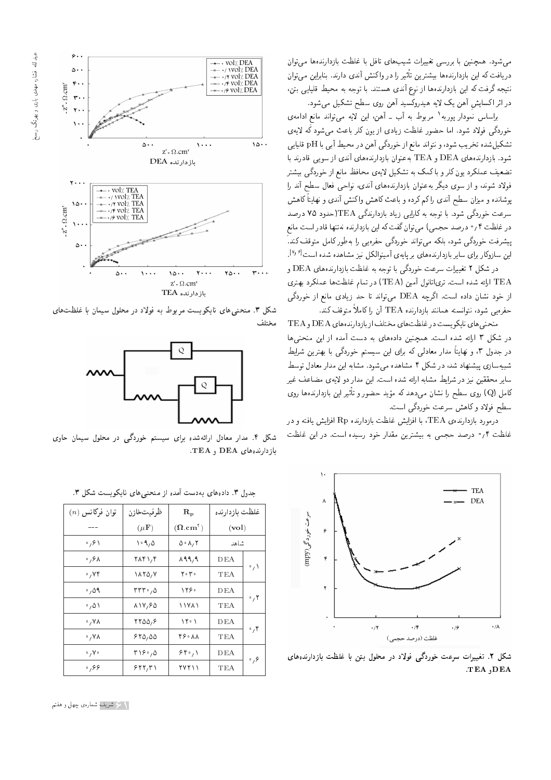

براساس نمودار پوربه<sup>۱</sup> مربوط به آب ـ آهن، این لایه می $\vec{z}$ اند مانعِ ادامهی خوردگی فولاد شود. اما حضور غلظت زیادی از یون کلر باعث می شود که لایهی تشكيل شده تخريب شود، و نتواند مانع از خوردگي آهن در محيط آبي با pH قليايي شود. بازدارندههای DEA و TEA به عنوان بازدارندههای آندی از سویی قادرند با تضعیف عملکرد یون کلر و با کمک به تشکیل لایهی محافظ مانع از خوردگی بیشتر فولاد شوند، و از سوی دیگر بهعنوان بازدارندههای آندی، نواحی فعال سطح آند را پوشانده و میزان سطح أندی را کم کرده و باعث کاهش واکنش أندی و نهایتاً کاهش سرعت خوردگی شود. با توجه به کارایی زیاد بازدارندگی TEA(حدود ۷۵ درصد در غلظت ۰٫۴ درصد حجمی) میتوان گفت که این بازدارنده نهتنها قادر است مانع ییشرفت خوردگی شود، بلکه می تواند خوردگی حفرهیی را بهطور کامل متوقف کند. " این سازوکار برای سایر بازدارندههای بر پایهی آمینوالکل نیز مشاهده شده است<sup>۶۱</sup>۶!.

در شکل ۲ تغییرات سرعت خوردگی با توجه به غلظت بازدارندههای DEA و لارائه شده است. ترىاتانول أمين (TEA) در تمام غلظتها عملكرد بهترى "C از خود نشان داده است. اگرچه DEA می تواند تا حد زیادی مانع از خوردگی حفره يي شود، نتوانسته همانند بازدارنده TEA آن را كاملاً متوقف كند.

منحنی های نایکویست در غلظت های مختلف از بازدارنده های DEA و TEA در شکل ۳ ارائه شده است. همچنین دادههای به دست آمده از این منحنیها در جدول ۳، و نهایتاً مدار معادلی که برای این سیستم خوردگی با بهترین شرایط شبیهسازی پیشنهاد شد، در شکل ۴ مشاهده میشود. مشابه این مدار معادل توسط سایر محققین نیز در شرایط مشابه ارائه شده است. این مدار دو لایهی مضاعف غیر کامل (Q) روی سطح را نشان می دهد که مؤید حضور و تأثیر این بازدارندهها روی<br>ک سطح فولاد وكاهش سرعت خوردگي است.

 $\sigma$ درمورد بازدارنده $\rm{R}_2$  تا افزایش غلظت بازدارنده  $\rm{R}_P$  افزایش یافته و در غلظت ۰٫۴ درصد حجمی به بیشترین مقدار خود رسیده است. در این غلظت



شکل ۲. تغییرات سرعت خوردگی فولاد در محلول بتن با غلظت بازدارندههای TEA ,DEA



شکل ۳. منحنی های نایکویست مربوط به فولاد در محلول سیمان با غلظتهای مختلف



شکل ۴. مدار معادل ارائهشده برای سیستم خوردگی در محلول سیمان حاوی  $TEA$  , DEA  $Q$ بازدارندههای

| $(n)$ نوان فرکانس                 | ظرفيتخازن                     | $\mathbf{R}_{\mathbf{p}}$                       | غلظت بازدارنده              |                        |  |
|-----------------------------------|-------------------------------|-------------------------------------------------|-----------------------------|------------------------|--|
|                                   | $(\mu \mathbf{F})$            | $(\boldsymbol{\Omega} . \mathbf{cm}^\intercal)$ | $\left(\mathrm{vol}\right)$ |                        |  |
| $\mathfrak{g}_{\gamma}$ ۶۱        | $\cdot$ 9,0                   | ۸، ۸، ۲                                         | شاهد                        |                        |  |
| ۶۸، ۰                             | ۲۸۴۱,۴                        | 899,9                                           | DEA                         |                        |  |
| $\cdot$ , $\mathsf{Y} \mathsf{Y}$ | $\lambda \lambda Y \Delta/Y$  | ۲۰۳۰                                            | TEA                         | $\cdot$ $\wedge$       |  |
| ۵۹ ه                              | ۰٫۵ ۲۳۳                       | ۱۲۶۰                                            | DEA                         |                        |  |
| ۰٫۵۱                              | 814,80                        | ۱۱۷۸۱                                           | TEA                         | $\cdot$ , $\mathsf{r}$ |  |
| ۷۸ ۰                              | $YY\Delta\Delta$ , $\epsilon$ | ۱۲۰۱                                            | DEA                         |                        |  |
| ۷۸ و                              | 870,00                        | ۴۶۰ ۸۸                                          | TEA                         | $\cdot$ ,۴             |  |
| $\circ$ , $V \circ$               | ۲۱۶۰٫۵                        | 84.1                                            | DEA                         |                        |  |
| .89                               | ۶۲۲٬۳۱                        | ۲۷۲۱۱                                           | TEA                         | $\cdot$ , $\circ$      |  |

جدول ٣. دادههای بهدست آمده از منحنی های نایکو یست شکل ٣.